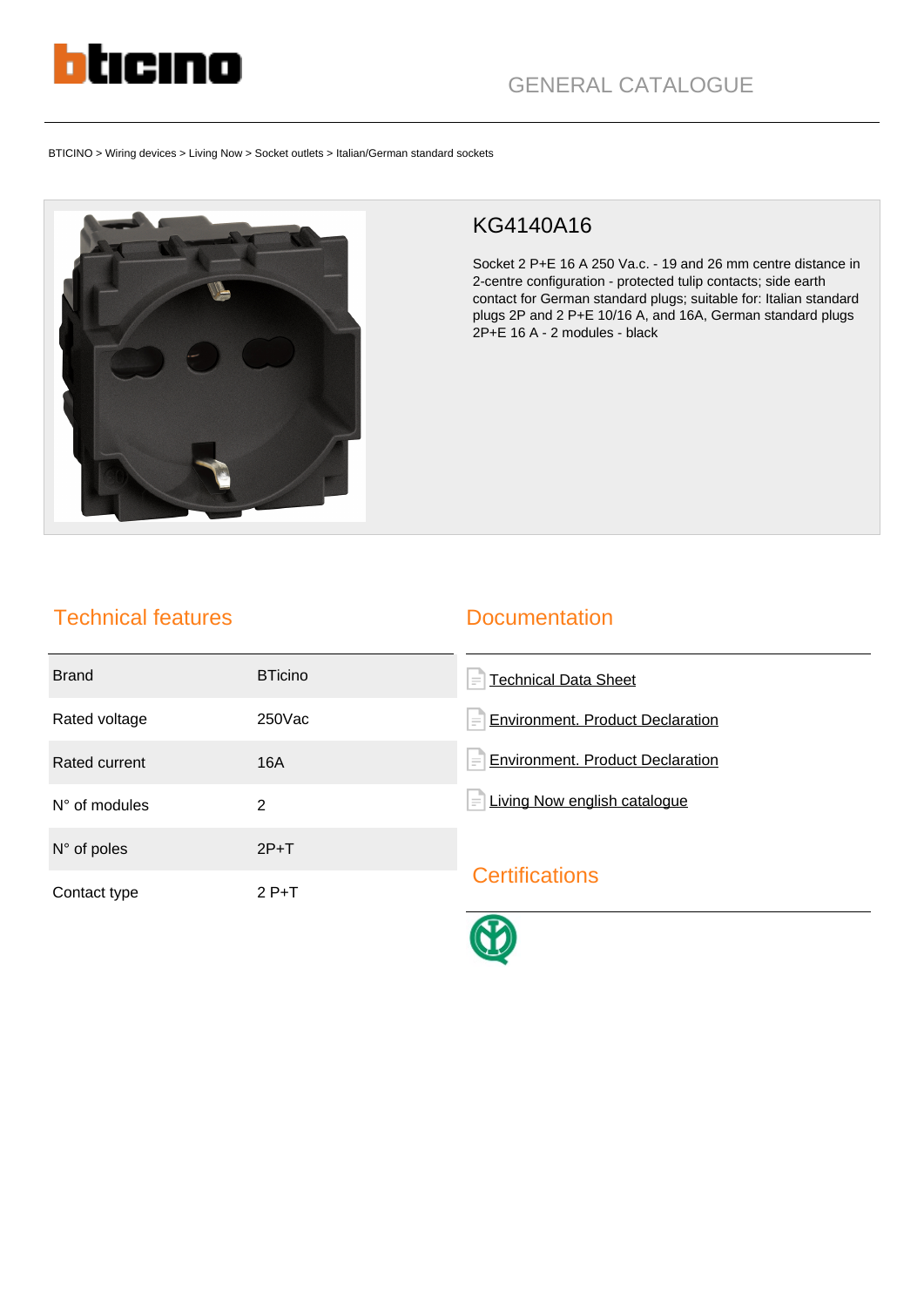

BTICINO > Wiring devices > Living Now > Socket outlets > Italian/German standard sockets



## KG4140A16

Socket 2 P+E 16 A 250 Va.c. - 19 and 26 mm centre distance in 2-centre configuration - protected tulip contacts; side earth contact for German standard plugs; suitable for: Italian standard plugs 2P and 2 P+E 10/16 A, and 16A, German standard plugs 2P+E 16 A - 2 modules - black

## Technical features

## **Documentation**

| <b>Brand</b>           | <b>BTicino</b> | Technical Data Sheet<br>$\equiv$               |
|------------------------|----------------|------------------------------------------------|
| Rated voltage          | $250$ Vac      | <b>Environment. Product Declaration</b><br>$=$ |
| Rated current          | 16A            | <b>Environment. Product Declaration</b><br>$=$ |
| $N^{\circ}$ of modules | 2              | Living Now english catalogue<br>$\equiv$       |
| $N^{\circ}$ of poles   | $2P+T$         |                                                |
| Contact type           | $2P+T$         | <b>Certifications</b>                          |
|                        |                |                                                |